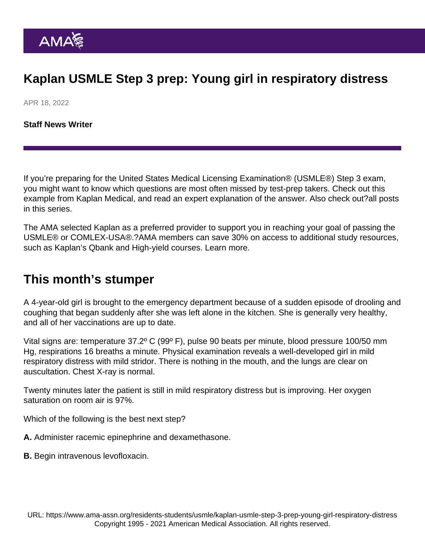# Kaplan USMLE Step 3 prep: Young girl in respiratory distress

APR 18, 2022

[Staff News Writer](https://www.ama-assn.org/news-leadership-viewpoints/authors-news-leadership-viewpoints/staff-news-writer)

If you're preparing for the United States Medical Licensing Examination® (USMLE®) Step 3 exam, you might want to know which questions are most often missed by test-prep takers. Check out this example from Kaplan Medical, and read an expert explanation of the answer. Also check out?[all posts](https://www.ama-assn.org/series/kaplan-usmle-step-3-prep-questions) [in this series.](https://www.ama-assn.org/series/kaplan-usmle-step-3-prep-questions)

The AMA selected Kaplan as a preferred provider to support you in reaching your goal of passing the USMLE® or COMLEX-USA®.?AMA members can save 30% on access to additional study resources, such as Kaplan's Qbank and High-yield courses. [Learn more.](https://www.ama-assn.org/ama-member-benefits/individual-member-benefits/educational-student-discounts)

### This month's stumper

A 4-year-old girl is brought to the emergency department because of a sudden episode of drooling and coughing that began suddenly after she was left alone in the kitchen. She is generally very healthy, and all of her vaccinations are up to date.

Vital signs are: temperature 37.2º C (99º F), pulse 90 beats per minute, blood pressure 100/50 mm Hg, respirations 16 breaths a minute. Physical examination reveals a well-developed girl in mild respiratory distress with mild stridor. There is nothing in the mouth, and the lungs are clear on auscultation. Chest X-ray is normal.

Twenty minutes later the patient is still in mild respiratory distress but is improving. Her oxygen saturation on room air is 97%.

Which of the following is the best next step?

- A. Administer racemic epinephrine and dexamethasone.
- B. Begin intravenous levofloxacin.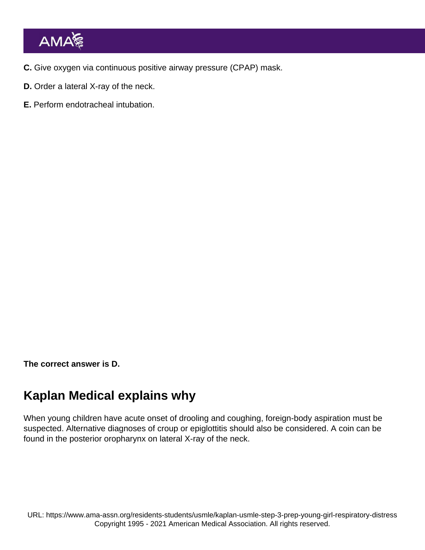- C. Give oxygen via continuous positive airway pressure (CPAP) mask.
- D. Order a lateral X-ray of the neck.
- E. Perform endotracheal intubation.

The correct answer is D.

## Kaplan Medical explains why

When young children have acute onset of drooling and coughing, foreign-body aspiration must be suspected. Alternative diagnoses of croup or epiglottitis should also be considered. A coin can be found in the posterior oropharynx on lateral X-ray of the neck.